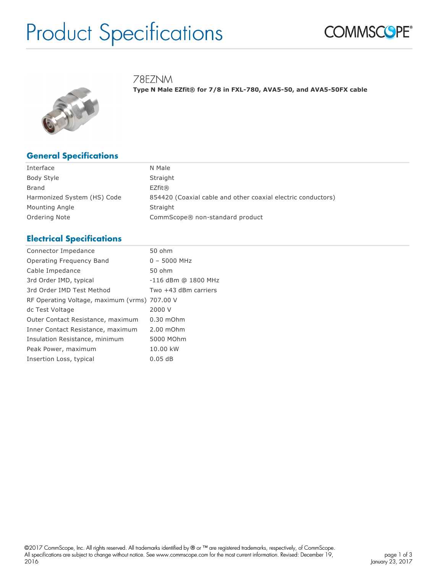# Product Specifications



78EZNM

**Type N Male EZfit® for 7/8 in FXL-780, AVA5-50, and AVA5-50FX cable**



## **General Specifications**

| Interface                   | N Male                                                       |
|-----------------------------|--------------------------------------------------------------|
| Body Style                  | Straight                                                     |
| Brand                       | EZfit@                                                       |
| Harmonized System (HS) Code | 854420 (Coaxial cable and other coaxial electric conductors) |
| Mounting Angle              | Straight                                                     |
| Ordering Note               | CommScope® non-standard product                              |

## **Electrical Specifications**

| 50 ohm                                        |  |
|-----------------------------------------------|--|
| $0 - 5000$ MHz                                |  |
| 50 ohm                                        |  |
| -116 dBm @ 1800 MHz                           |  |
| Two +43 dBm carriers                          |  |
| RF Operating Voltage, maximum (vrms) 707.00 V |  |
| 2000 V                                        |  |
| $0.30$ mOhm                                   |  |
| 2.00 mOhm                                     |  |
| 5000 MOhm                                     |  |
| 10.00 kW                                      |  |
| 0.05dB                                        |  |
|                                               |  |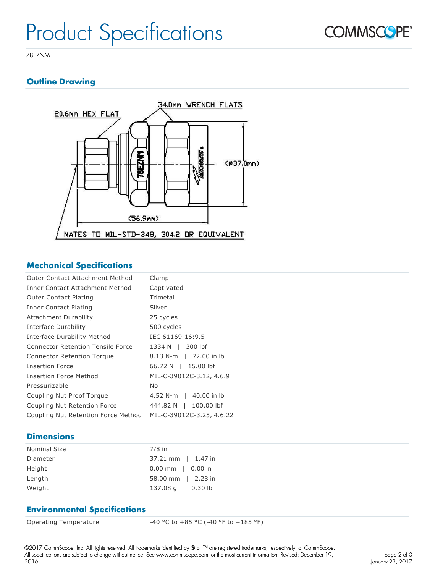

78EZNM

## **Outline Drawing**



### **Mechanical Specifications**

| Outer Contact Attachment Method          | Clamp                     |
|------------------------------------------|---------------------------|
| Inner Contact Attachment Method          | Captivated                |
| <b>Outer Contact Plating</b>             | Trimetal                  |
| Inner Contact Plating                    | Silver                    |
| Attachment Durability                    | 25 cycles                 |
| Interface Durability                     | 500 cycles                |
| Interface Durability Method              | IEC 61169-16:9.5          |
| <b>Connector Retention Tensile Force</b> | 300 lbf<br>1334 N I       |
| <b>Connector Retention Torque</b>        | 8.13 N-m   72.00 in lb    |
| <b>Insertion Force</b>                   | 66.72 N   15.00 lbf       |
| Insertion Force Method                   | MIL-C-39012C-3.12, 4.6.9  |
| Pressurizable                            | No                        |
| Coupling Nut Proof Torque                | 4.52 N-m   40.00 in lb    |
| Coupling Nut Retention Force             | 100,00 lbf<br>444.82 N    |
| Coupling Nut Retention Force Method      | MIL-C-39012C-3.25, 4.6.22 |

### **Dimensions**

| <b>Nominal Size</b> | $7/8$ in                     |
|---------------------|------------------------------|
| Diameter            | $37.21 \text{ mm}$   1.47 in |
| Height              | $0.00$ mm   0.00 in          |
| Length              | 58.00 mm   2.28 in           |
| Weight              | $137.08 \text{ q}$   0.30 lb |

### **Environmental Specifications**

Operating Temperature  $-40 °C$  to  $+85 °C$  (-40 °F to  $+185 °F$ )

©2017 CommScope, Inc. All rights reserved. All trademarks identified by ® or ™ are registered trademarks, respectively, of CommScope. All specifications are subject to change without notice. See www.commscope.com for the most current information. Revised: December 19, 2016